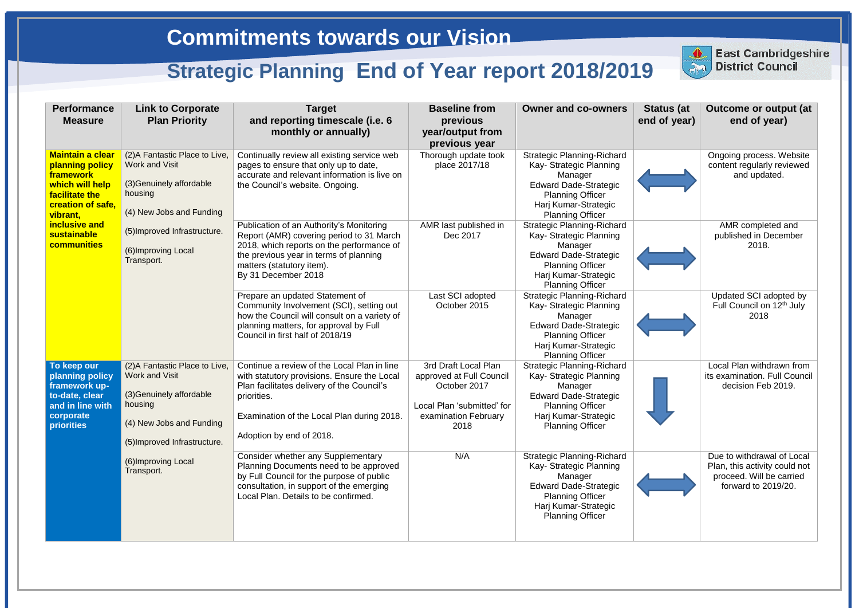| <b>Performance</b><br><b>Measure</b>                                                                                          | <b>Link to Corporate</b><br><b>Plan Priority</b>                                                                                                    | <b>Target</b><br>and reporting timescale (i.e. 6<br>monthly or annually)                                                                                                                                                          | <b>Baseline from</b><br>previous<br>year/output from<br>previous year                                                          | <b>Owner and co-owners</b>                                                                                                                                                            | <b>Status (at</b><br>end of year) | <b>Outcome or output (at</b><br>end of year)                                                                   |
|-------------------------------------------------------------------------------------------------------------------------------|-----------------------------------------------------------------------------------------------------------------------------------------------------|-----------------------------------------------------------------------------------------------------------------------------------------------------------------------------------------------------------------------------------|--------------------------------------------------------------------------------------------------------------------------------|---------------------------------------------------------------------------------------------------------------------------------------------------------------------------------------|-----------------------------------|----------------------------------------------------------------------------------------------------------------|
| <b>Maintain a clear</b><br>planning policy<br>framework<br>which will help<br>facilitate the<br>creation of safe.<br>vibrant, | (2) A Fantastic Place to Live,<br><b>Work and Visit</b><br>(3) Genuinely affordable<br>housing<br>(4) New Jobs and Funding                          | Continually review all existing service web<br>pages to ensure that only up to date,<br>accurate and relevant information is live on<br>the Council's website. Ongoing.                                                           | Thorough update took<br>place 2017/18                                                                                          | <b>Strategic Planning-Richard</b><br>Kay- Strategic Planning<br>Manager<br><b>Edward Dade-Strategic</b><br><b>Planning Officer</b><br>Harj Kumar-Strategic<br><b>Planning Officer</b> |                                   | Ongoing process. Website<br>content regularly reviewed<br>and updated.                                         |
| inclusive and<br><b>sustainable</b><br><b>communities</b>                                                                     | (5) Improved Infrastructure.<br>(6) Improving Local<br>Transport.                                                                                   | Publication of an Authority's Monitoring<br>Report (AMR) covering period to 31 March<br>2018, which reports on the performance of<br>the previous year in terms of planning<br>matters (statutory item).<br>By 31 December 2018   | AMR last published in<br>Dec 2017                                                                                              | <b>Strategic Planning-Richard</b><br>Kay- Strategic Planning<br>Manager<br><b>Edward Dade-Strategic</b><br><b>Planning Officer</b><br>Harj Kumar-Strategic<br><b>Planning Officer</b> |                                   | AMR completed and<br>published in December<br>2018.                                                            |
|                                                                                                                               |                                                                                                                                                     | Prepare an updated Statement of<br>Community Involvement (SCI), setting out<br>how the Council will consult on a variety of<br>planning matters, for approval by Full<br>Council in first half of 2018/19                         | Last SCI adopted<br>October 2015                                                                                               | <b>Strategic Planning-Richard</b><br>Kay- Strategic Planning<br>Manager<br><b>Edward Dade-Strategic</b><br><b>Planning Officer</b><br>Harj Kumar-Strategic<br><b>Planning Officer</b> |                                   | Updated SCI adopted by<br>Full Council on 12 <sup>th</sup> July<br>2018                                        |
| To keep our<br>planning policy<br>framework up-<br>to-date, clear<br>and in line with<br>corporate<br><b>priorities</b>       | (2) A Fantastic Place to Live,<br>Work and Visit<br>(3) Genuinely affordable<br>housing<br>(4) New Jobs and Funding<br>(5) Improved Infrastructure. | Continue a review of the Local Plan in line<br>with statutory provisions. Ensure the Local<br>Plan facilitates delivery of the Council's<br>priorities.<br>Examination of the Local Plan during 2018.<br>Adoption by end of 2018. | 3rd Draft Local Plan<br>approved at Full Council<br>October 2017<br>Local Plan 'submitted' for<br>examination February<br>2018 | <b>Strategic Planning-Richard</b><br>Kay- Strategic Planning<br>Manager<br><b>Edward Dade-Strategic</b><br><b>Planning Officer</b><br>Harj Kumar-Strategic<br><b>Planning Officer</b> |                                   | Local Plan withdrawn from<br>its examination. Full Council<br>decision Feb 2019.                               |
|                                                                                                                               | (6) Improving Local<br>Transport.                                                                                                                   | <b>Consider whether any Supplementary</b><br>Planning Documents need to be approved<br>by Full Council for the purpose of public<br>consultation, in support of the emerging<br>Local Plan. Details to be confirmed.              | N/A                                                                                                                            | <b>Strategic Planning-Richard</b><br>Kay- Strategic Planning<br>Manager<br><b>Edward Dade-Strategic</b><br><b>Planning Officer</b><br>Harj Kumar-Strategic<br><b>Planning Officer</b> |                                   | Due to withdrawal of Local<br>Plan, this activity could not<br>proceed. Will be carried<br>forward to 2019/20. |



**East Cambridgeshire District Council**

**Cast Cambridge**<br>District Council **East Cambridgeshire** 

## **Commitments towards our Vision**

## **Strategic Planning End of Year report 2018/2019**